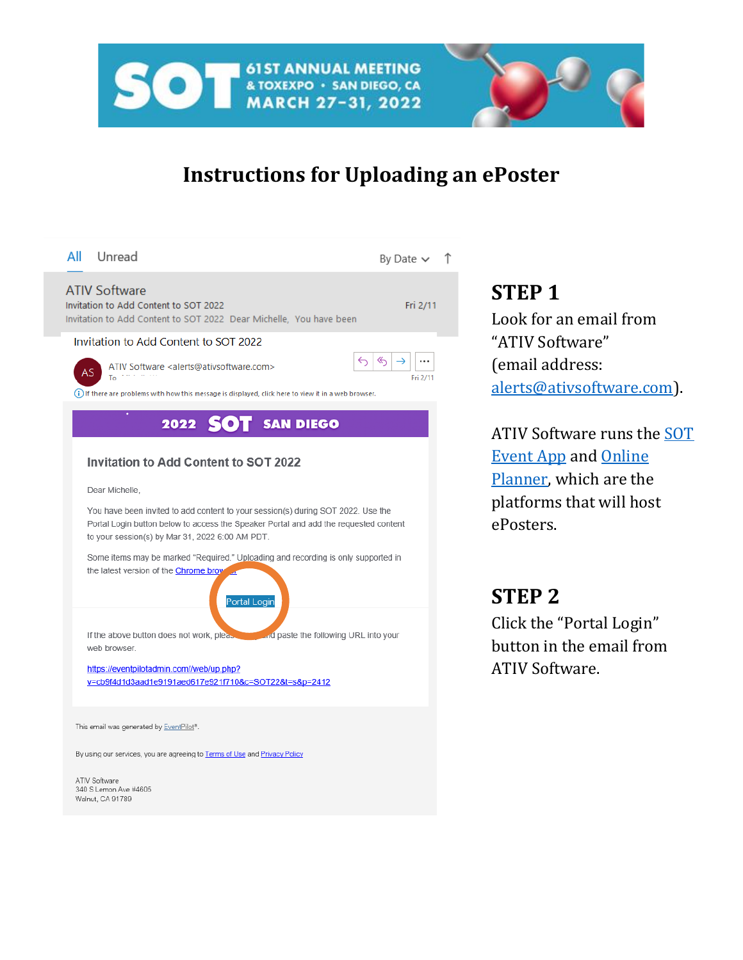

## **Instructions for Uploading an ePoster**

**STEP 1**

ePosters.

**STEP 2**

ATIV Software.

Look for an email from

[alerts@ativsoftware.com\)](mailto:alerts@ativsoftware.com).

ATIV Software runs the [SOT](https://www.toxicology.org/events/am/am2022/epubs.asp#app) 

[Event App](https://www.toxicology.org/events/am/am2022/epubs.asp#app) and [Online](https://www.toxicology.org/events/am/am2022/online-planner.asp)  [Planner,](https://www.toxicology.org/events/am/am2022/online-planner.asp) which are the platforms that will host

Click the "Portal Login" button in the email from

"ATIV Software"

(email address:

| All Unread                                                                                                                                                                                                                  | By Date $\vee$ $\uparrow$          |  |
|-----------------------------------------------------------------------------------------------------------------------------------------------------------------------------------------------------------------------------|------------------------------------|--|
| <b>ATIV Software</b><br>Invitation to Add Content to SOT 2022<br>Invitation to Add Content to SOT 2022 Dear Michelle, You have been                                                                                         | Fri 2/11                           |  |
| Invitation to Add Content to SOT 2022                                                                                                                                                                                       |                                    |  |
| ATIV Software <alerts@ativsoftware.com><br/>AS<br/>To <math>\mathbb{R}^{n \times n}</math></alerts@ativsoftware.com>                                                                                                        | $\ll$<br>$\rightarrow$<br>Fri 2/11 |  |
| (i) If there are problems with how this message is displayed, click here to view it in a web browser.                                                                                                                       |                                    |  |
| 2022 SOT SAN DIEGO                                                                                                                                                                                                          |                                    |  |
| <b>Invitation to Add Content to SOT 2022</b>                                                                                                                                                                                |                                    |  |
| Dear Michelle,                                                                                                                                                                                                              |                                    |  |
| You have been invited to add content to your session(s) during SOT 2022. Use the<br>Portal Login button below to access the Speaker Portal and add the requested content<br>to your session(s) by Mar 31, 2022 6:00 AM PDT. |                                    |  |
| Some items may be marked "Required." Uploading and recording is only supported in<br>the latest version of the Chrome brow<br>Portal Login                                                                                  |                                    |  |
| If the above button does not work, pleased and paste the following URL into your<br>web browser.                                                                                                                            |                                    |  |
| https://eventpilotadmin.com//web/up.php?<br>v=cb9f4d1d3aad1e9191aed617e921f710&c=SOT22&t=s&p=2412                                                                                                                           |                                    |  |
| This email was generated by EventPilot®.                                                                                                                                                                                    |                                    |  |
| By using our services, you are agreeing to Terms of Use and Privacy Policy                                                                                                                                                  |                                    |  |
| ATIV Software<br>340 S Lemon Ave #4605<br>Walnut, CA 91789                                                                                                                                                                  |                                    |  |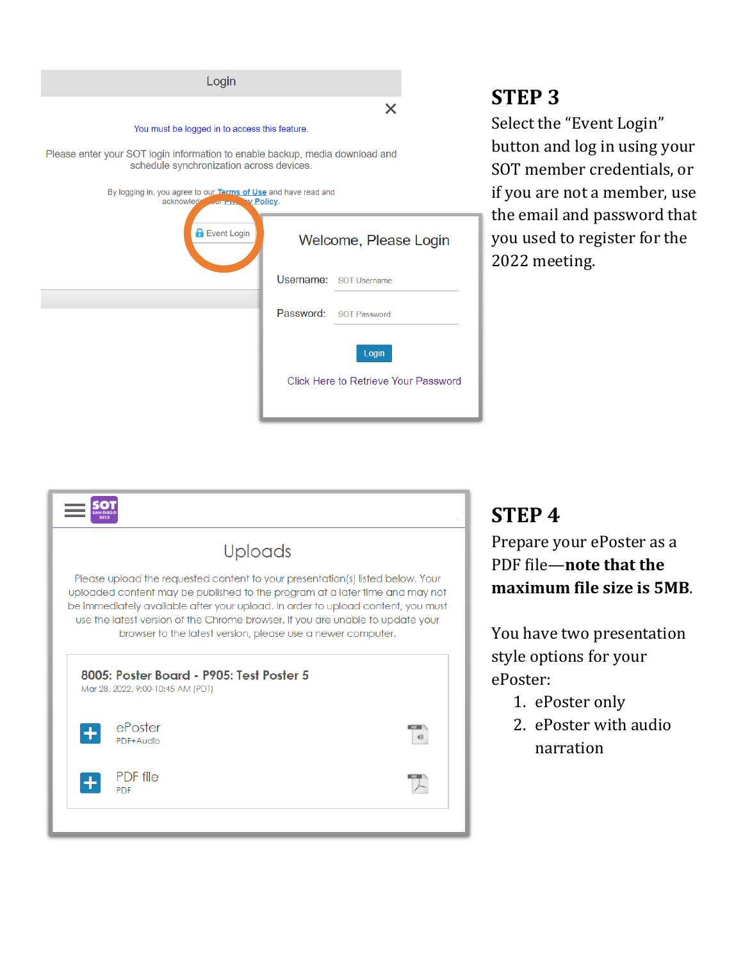| Login                                                                                                                    |                                               |
|--------------------------------------------------------------------------------------------------------------------------|-----------------------------------------------|
|                                                                                                                          | $\times$                                      |
| You must be logged in to access this feature.                                                                            |                                               |
| Please enter your SOT login information to enable backup, media download and<br>schedule synchronization across devices. |                                               |
| By logging in, you agree to our Terms of Use and have read and<br>acknowled sur Frank V Policy.                          |                                               |
| <b>A</b> Event Login                                                                                                     | Welcome, Please Login                         |
|                                                                                                                          | Username: SOT Username                        |
|                                                                                                                          | Password: SOT Password                        |
|                                                                                                                          | Login<br>Click Here to Retrieve Your Password |

## **STEP 3**

Select the "Event Login" button and log in using your SOT member credentials, or if you are not a member, use the email and password that you used to register for the 2022 meeting.



### **STEP 4**

Prepare your ePoster as a PDF file—**note that the maximum file size is 5MB**.

You have two presentation style options for your ePoster:

- 1. ePoster only
- 2. ePoster with audio narration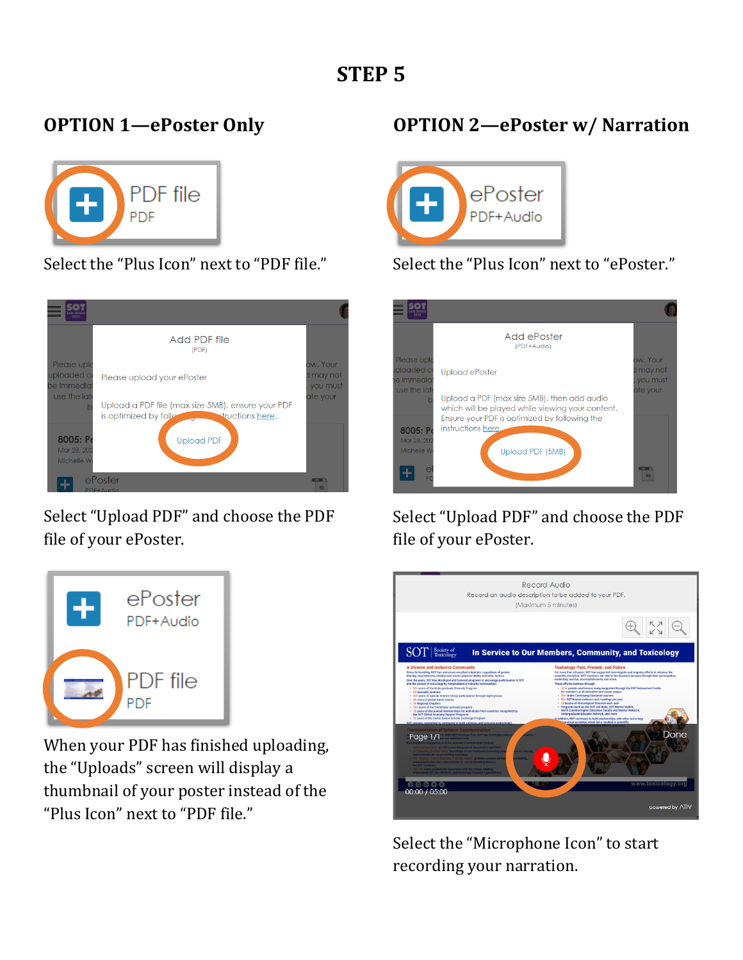## **OPTION 1—ePoster Only**



Select the "Plus Icon" next to "PDF file."



Select "Upload PDF" and choose the PDF file of your ePoster.



When your PDF has finished uploading, the "Uploads" screen will display a thumbnail of your poster instead of the "Plus Icon" next to "PDF file."

### **OPTION 2—ePoster w/ Narration**



#### Select the "Plus Icon" next to "ePoster."



Select "Upload PDF" and choose the PDF file of your ePoster.



Select the "Microphone Icon" to start recording your narration.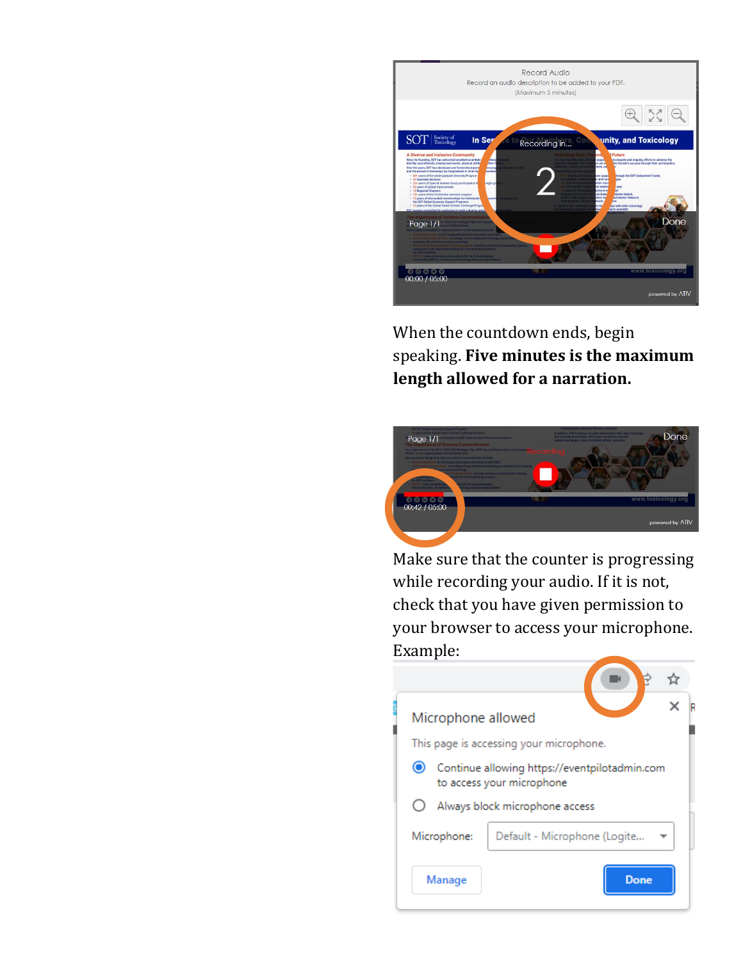

When the countdown ends, begin speaking. **Five minutes is the maximum length allowed for a narration.**



Make sure that the counter is progressing while recording your audio. If it is not, check that you have given permission to your browser to access your microphone. Example:

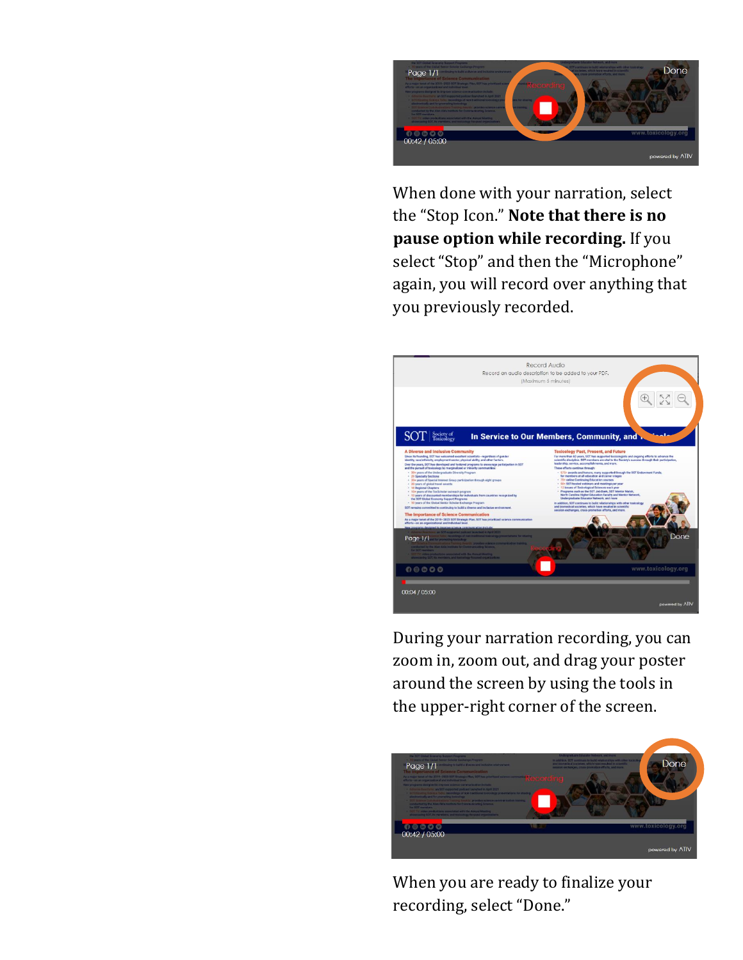

When done with your narration, select the "Stop Icon." **Note that there is no pause option while recording.** If you select "Stop" and then the "Microphone" again, you will record over anything that you previously recorded.



During your narration recording, you can zoom in, zoom out, and drag your poster around the screen by using the tools in the upper-right corner of the screen.



When you are ready to finalize your recording, select "Done."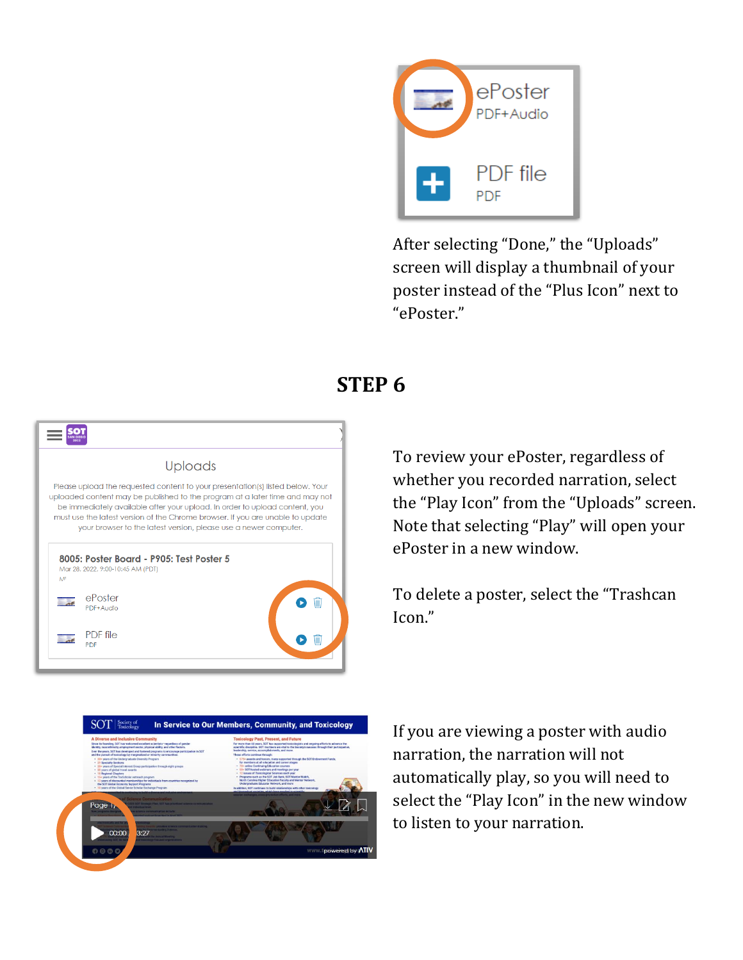

After selecting "Done," the "Uploads" screen will display a thumbnail of your poster instead of the "Plus Icon" next to "ePoster."

# **STEP 6**

|     | <b>Uploads</b>                                                                                                                                                                                                                                                                                                                                                                                      |
|-----|-----------------------------------------------------------------------------------------------------------------------------------------------------------------------------------------------------------------------------------------------------------------------------------------------------------------------------------------------------------------------------------------------------|
|     | Please upload the requested content to your presentation(s) listed below. Your<br>uploaded content may be published to the program at a later time and may not<br>be immediately available after your upload. In order to upload content, you<br>must use the latest version of the Chrome browser. If you are unable to update<br>your browser to the latest version, please use a newer computer. |
| MF. | 8005: Poster Board - P905: Test Poster 5<br>Mar 28, 2022, 9:00-10:45 AM (PDT)                                                                                                                                                                                                                                                                                                                       |
|     | ePoster<br>PDF+Audio                                                                                                                                                                                                                                                                                                                                                                                |
|     | PDF file<br>PDF                                                                                                                                                                                                                                                                                                                                                                                     |

To review your ePoster, regardless of whether you recorded narration, select the "Play Icon" from the "Uploads" screen. Note that selecting "Play" will open your ePoster in a new window.

To delete a poster, select the "Trashcan Icon."



If you are viewing a poster with audio narration, the narration will not automatically play, so you will need to select the "Play Icon" in the new window to listen to your narration.